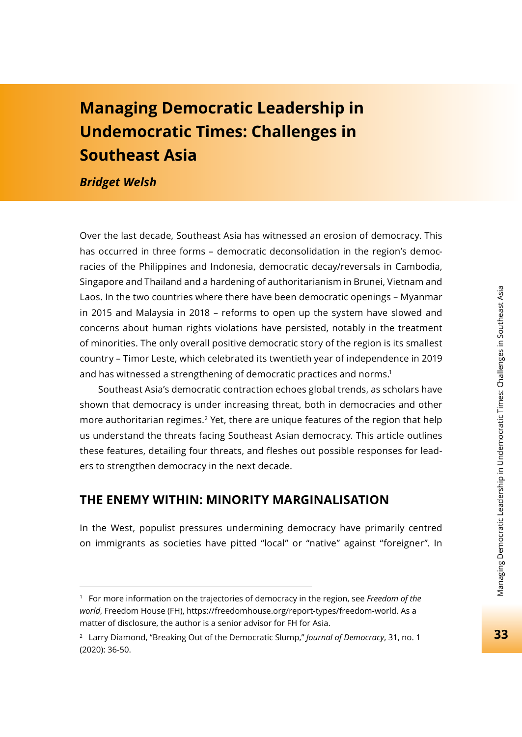# **Managing Democratic Leadership in Undemocratic Times: Challenges in Southeast Asia**

*Bridget Welsh*

Over the last decade, Southeast Asia has witnessed an erosion of democracy. This has occurred in three forms – democratic deconsolidation in the region's democracies of the Philippines and Indonesia, democratic decay/reversals in Cambodia, Singapore and Thailand and a hardening of authoritarianism in Brunei, Vietnam and Laos. In the two countries where there have been democratic openings – Myanmar in 2015 and Malaysia in 2018 – reforms to open up the system have slowed and concerns about human rights violations have persisted, notably in the treatment of minorities. The only overall positive democratic story of the region is its smallest country – Timor Leste, which celebrated its twentieth year of independence in 2019 and has witnessed a strengthening of democratic practices and norms.<sup>1</sup>

Southeast Asia's democratic contraction echoes global trends, as scholars have shown that democracy is under increasing threat, both in democracies and other more authoritarian regimes.<sup>2</sup> Yet, there are unique features of the region that help us understand the threats facing Southeast Asian democracy. This article outlines these features, detailing four threats, and fleshes out possible responses for leaders to strengthen democracy in the next decade.

#### **THE ENEMY WITHIN: MINORITY MARGINALISATION**

In the West, populist pressures undermining democracy have primarily centred on immigrants as societies have pitted "local" or "native" against "foreigner". In

<sup>1</sup> For more information on the trajectories of democracy in the region, see *Freedom of the world*, Freedom House (FH), https://freedomhouse.org/report-types/freedom-world. As a matter of disclosure, the author is a senior advisor for FH for Asia.

<sup>2</sup> Larry Diamond, "Breaking Out of the Democratic Slump," *Journal of Democracy*, 31, no. 1 (2020): 36-50.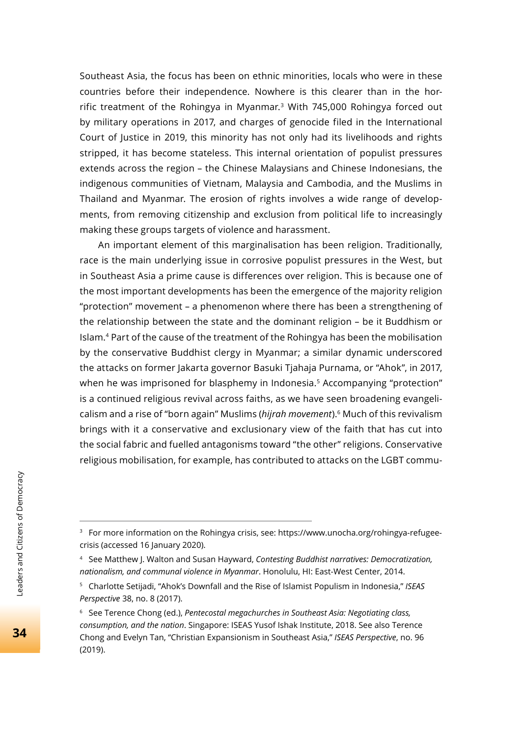Southeast Asia, the focus has been on ethnic minorities, locals who were in these countries before their independence. Nowhere is this clearer than in the horrific treatment of the Rohingya in Myanmar.3 With 745,000 Rohingya forced out by military operations in 2017, and charges of genocide filed in the International Court of Justice in 2019, this minority has not only had its livelihoods and rights stripped, it has become stateless. This internal orientation of populist pressures extends across the region – the Chinese Malaysians and Chinese Indonesians, the indigenous communities of Vietnam, Malaysia and Cambodia, and the Muslims in Thailand and Myanmar. The erosion of rights involves a wide range of developments, from removing citizenship and exclusion from political life to increasingly making these groups targets of violence and harassment.

An important element of this marginalisation has been religion. Traditionally, race is the main underlying issue in corrosive populist pressures in the West, but in Southeast Asia a prime cause is differences over religion. This is because one of the most important developments has been the emergence of the majority religion "protection" movement – a phenomenon where there has been a strengthening of the relationship between the state and the dominant religion – be it Buddhism or Islam.4 Part of the cause of the treatment of the Rohingya has been the mobilisation by the conservative Buddhist clergy in Myanmar; a similar dynamic underscored the attacks on former Jakarta governor Basuki Tjahaja Purnama, or "Ahok", in 2017, when he was imprisoned for blasphemy in Indonesia.<sup>5</sup> Accompanying "protection" is a continued religious revival across faiths, as we have seen broadening evangelicalism and a rise of "born again" Muslims (*hijrah movement*).6 Much of this revivalism brings with it a conservative and exclusionary view of the faith that has cut into the social fabric and fuelled antagonisms toward "the other" religions. Conservative religious mobilisation, for example, has contributed to attacks on the LGBT commu-

<sup>&</sup>lt;sup>3</sup> For more information on the Rohingya crisis, see: https://www.unocha.org/rohingya-refugeecrisis (accessed 16 January 2020).

<sup>4</sup> See Matthew J. Walton and Susan Hayward, *Contesting Buddhist narratives: Democratization, nationalism, and communal violence in Myanmar*. Honolulu, HI: East-West Center, 2014.

<sup>5</sup> Charlotte Setijadi, "Ahok's Downfall and the Rise of Islamist Populism in Indonesia," *ISEAS Perspective* 38, no. 8 (2017).

<sup>6</sup> See Terence Chong (ed.), *Pentecostal megachurches in Southeast Asia: Negotiating class, consumption, and the nation*. Singapore: ISEAS Yusof Ishak Institute, 2018. See also Terence Chong and Evelyn Tan, "Christian Expansionism in Southeast Asia," *ISEAS Perspective*, no. 96 (2019).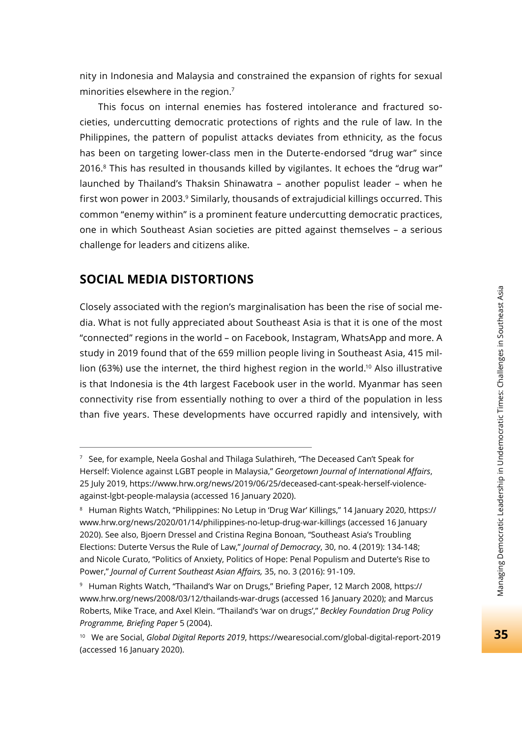nity in Indonesia and Malaysia and constrained the expansion of rights for sexual minorities elsewhere in the region.<sup>7</sup>

This focus on internal enemies has fostered intolerance and fractured societies, undercutting democratic protections of rights and the rule of law. In the Philippines, the pattern of populist attacks deviates from ethnicity, as the focus has been on targeting lower-class men in the Duterte-endorsed "drug war" since 2016.8 This has resulted in thousands killed by vigilantes. It echoes the "drug war" launched by Thailand's Thaksin Shinawatra – another populist leader – when he first won power in 2003.<sup>9</sup> Similarly, thousands of extrajudicial killings occurred. This common "enemy within" is a prominent feature undercutting democratic practices, one in which Southeast Asian societies are pitted against themselves – a serious challenge for leaders and citizens alike.

# **SOCIAL MEDIA DISTORTIONS**

Closely associated with the region's marginalisation has been the rise of social media. What is not fully appreciated about Southeast Asia is that it is one of the most "connected" regions in the world – on Facebook, Instagram, WhatsApp and more. A study in 2019 found that of the 659 million people living in Southeast Asia, 415 million (63%) use the internet, the third highest region in the world.<sup>10</sup> Also illustrative is that Indonesia is the 4th largest Facebook user in the world. Myanmar has seen connectivity rise from essentially nothing to over a third of the population in less than five years. These developments have occurred rapidly and intensively, with

 $7$  See, for example, Neela Goshal and Thilaga Sulathireh, "The Deceased Can't Speak for Herself: Violence against LGBT people in Malaysia," *Georgetown Journal of International Aff airs*, 25 July 2019, https://www.hrw.org/news/2019/06/25/deceased-cant-speak-herself-violenceagainst-lgbt-people-malaysia (accessed 16 January 2020).

<sup>8</sup> Human Rights Watch, "Philippines: No Letup in 'Drug War' Killings," 14 January 2020, https:// www.hrw.org/news/2020/01/14/philippines-no-letup-drug-war-killings (accessed 16 January 2020). See also, Bjoern Dressel and Cristina Regina Bonoan, "Southeast Asia's Troubling Elections: Duterte Versus the Rule of Law," *Journal of Democracy*, 30, no. 4 (2019): 134-148; and Nicole Curato, "Politics of Anxiety, Politics of Hope: Penal Populism and Duterte's Rise to Power," *Journal of Current Southeast Asian Aff airs,* 35, no. 3 (2016): 91-109.

<sup>&</sup>lt;sup>9</sup> Human Rights Watch, "Thailand's War on Drugs," Briefing Paper, 12 March 2008, https:// www.hrw.org/news/2008/03/12/thailands-war-drugs (accessed 16 January 2020); and Marcus Roberts, Mike Trace, and Axel Klein. "Thailand's 'war on drugs'," *Beckley Foundation Drug Policy Programme, Briefing Paper* 5 (2004).

<sup>10</sup> We are Social, *Global Digital Reports 2019*, https://wearesocial.com/global-digital-report-2019 (accessed 16 January 2020).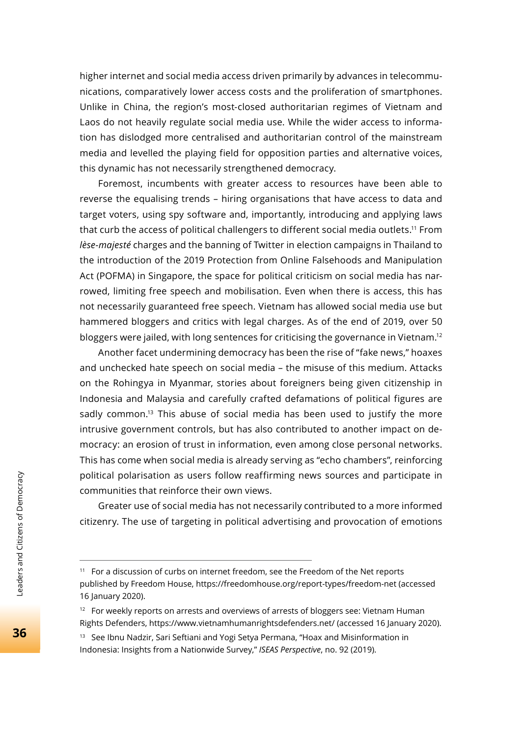higher internet and social media access driven primarily by advances in telecommunications, comparatively lower access costs and the proliferation of smartphones. Unlike in China, the region's most-closed authoritarian regimes of Vietnam and Laos do not heavily regulate social media use. While the wider access to information has dislodged more centralised and authoritarian control of the mainstream media and levelled the playing field for opposition parties and alternative voices, this dynamic has not necessarily strengthened democracy.

Foremost, incumbents with greater access to resources have been able to reverse the equalising trends – hiring organisations that have access to data and target voters, using spy software and, importantly, introducing and applying laws that curb the access of political challengers to different social media outlets.11 From *lèse-majesté* charges and the banning of Twitter in election campaigns in Thailand to the introduction of the 2019 Protection from Online Falsehoods and Manipulation Act (POFMA) in Singapore, the space for political criticism on social media has narrowed, limiting free speech and mobilisation. Even when there is access, this has not necessarily guaranteed free speech. Vietnam has allowed social media use but hammered bloggers and critics with legal charges. As of the end of 2019, over 50 bloggers were jailed, with long sentences for criticising the governance in Vietnam.<sup>12</sup>

Another facet undermining democracy has been the rise of "fake news," hoaxes and unchecked hate speech on social media – the misuse of this medium. Attacks on the Rohingya in Myanmar, stories about foreigners being given citizenship in Indonesia and Malaysia and carefully crafted defamations of political figures are sadly common.<sup>13</sup> This abuse of social media has been used to justify the more intrusive government controls, but has also contributed to another impact on democracy: an erosion of trust in information, even among close personal networks. This has come when social media is already serving as "echo chambers", reinforcing political polarisation as users follow reaffirming news sources and participate in communities that reinforce their own views.

Greater use of social media has not necessarily contributed to a more informed citizenry. The use of targeting in political advertising and provocation of emotions

<sup>11</sup> For a discussion of curbs on internet freedom, see the Freedom of the Net reports published by Freedom House, https://freedomhouse.org/report-types/freedom-net (accessed 16 January 2020).

<sup>&</sup>lt;sup>12</sup> For weekly reports on arrests and overviews of arrests of bloggers see: Vietnam Human Rights Defenders, https://www.vietnamhumanrightsdefenders.net/ (accessed 16 January 2020).

<sup>&</sup>lt;sup>13</sup> See Ibnu Nadzir, Sari Seftiani and Yogi Setya Permana, "Hoax and Misinformation in Indonesia: Insights from a Nationwide Survey," *ISEAS Perspective*, no. 92 (2019).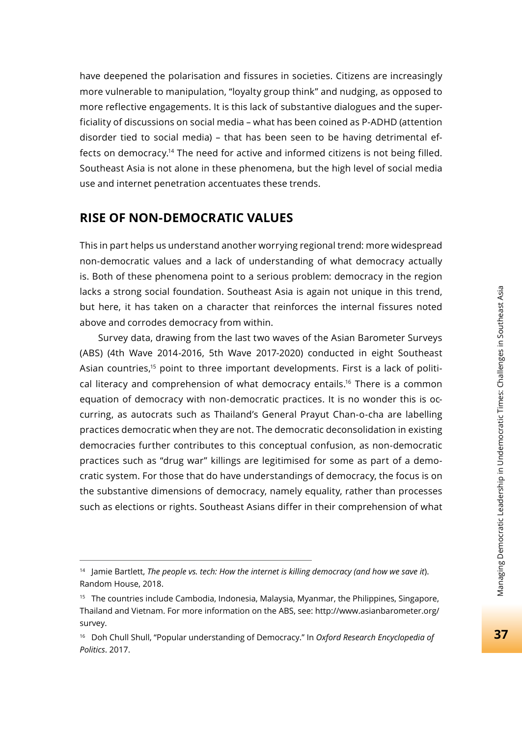have deepened the polarisation and fissures in societies. Citizens are increasingly more vulnerable to manipulation, "loyalty group think" and nudging, as opposed to more reflective engagements. It is this lack of substantive dialogues and the superficiality of discussions on social media – what has been coined as P-ADHD (attention disorder tied to social media) – that has been seen to be having detrimental effects on democracy.14 The need for active and informed citizens is not being filled. Southeast Asia is not alone in these phenomena, but the high level of social media use and internet penetration accentuates these trends.

## **RISE OF NON-DEMOCRATIC VALUES**

This in part helps us understand another worrying regional trend: more widespread non-democratic values and a lack of understanding of what democracy actually is. Both of these phenomena point to a serious problem: democracy in the region lacks a strong social foundation. Southeast Asia is again not unique in this trend, but here, it has taken on a character that reinforces the internal fissures noted above and corrodes democracy from within.

Survey data, drawing from the last two waves of the Asian Barometer Surveys (ABS) (4th Wave 2014-2016, 5th Wave 2017-2020) conducted in eight Southeast Asian countries,15 point to three important developments. First is a lack of political literacy and comprehension of what democracy entails.16 There is a common equation of democracy with non-democratic practices. It is no wonder this is occurring, as autocrats such as Thailand's General Prayut Chan-o-cha are labelling practices democratic when they are not. The democratic deconsolidation in existing democracies further contributes to this conceptual confusion, as non-democratic practices such as "drug war" killings are legitimised for some as part of a democratic system. For those that do have understandings of democracy, the focus is on the substantive dimensions of democracy, namely equality, rather than processes such as elections or rights. Southeast Asians differ in their comprehension of what

<sup>14</sup> Jamie Bartlett, *The people vs. tech: How the internet is killing democracy (and how we save it*). Random House, 2018.

<sup>15</sup> The countries include Cambodia, Indonesia, Malaysia, Myanmar, the Philippines, Singapore, Thailand and Vietnam. For more information on the ABS, see: http://www.asianbarometer.org/ survey.

<sup>16</sup> Doh Chull Shull, "Popular understanding of Democracy." In *Oxford Research Encyclopedia of Politics*. 2017.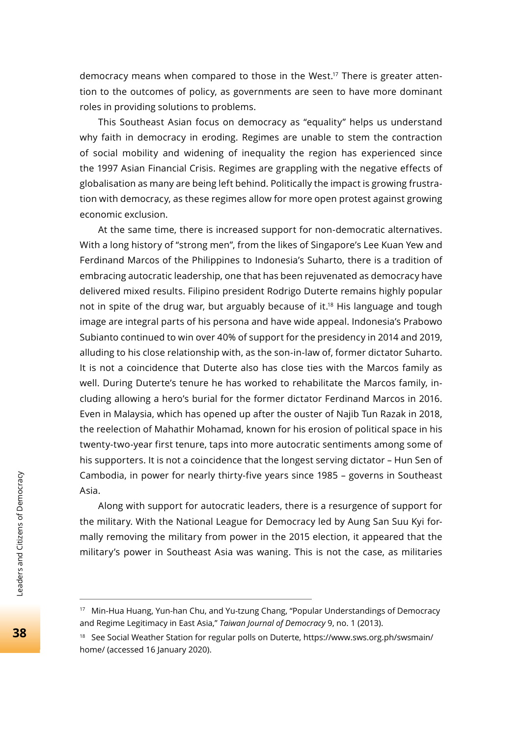democracy means when compared to those in the West.<sup>17</sup> There is greater attention to the outcomes of policy, as governments are seen to have more dominant roles in providing solutions to problems.

This Southeast Asian focus on democracy as "equality" helps us understand why faith in democracy in eroding. Regimes are unable to stem the contraction of social mobility and widening of inequality the region has experienced since the 1997 Asian Financial Crisis. Regimes are grappling with the negative effects of globalisation as many are being left behind. Politically the impact is growing frustration with democracy, as these regimes allow for more open protest against growing economic exclusion.

At the same time, there is increased support for non-democratic alternatives. With a long history of "strong men", from the likes of Singapore's Lee Kuan Yew and Ferdinand Marcos of the Philippines to Indonesia's Suharto, there is a tradition of embracing autocratic leadership, one that has been rejuvenated as democracy have delivered mixed results. Filipino president Rodrigo Duterte remains highly popular not in spite of the drug war, but arguably because of it.18 His language and tough image are integral parts of his persona and have wide appeal. Indonesia's Prabowo Subianto continued to win over 40% of support for the presidency in 2014 and 2019, alluding to his close relationship with, as the son-in-law of, former dictator Suharto. It is not a coincidence that Duterte also has close ties with the Marcos family as well. During Duterte's tenure he has worked to rehabilitate the Marcos family, including allowing a hero's burial for the former dictator Ferdinand Marcos in 2016. Even in Malaysia, which has opened up after the ouster of Najib Tun Razak in 2018, the reelection of Mahathir Mohamad, known for his erosion of political space in his twenty-two-year first tenure, taps into more autocratic sentiments among some of his supporters. It is not a coincidence that the longest serving dictator – Hun Sen of Cambodia, in power for nearly thirty-five years since 1985 – governs in Southeast Asia.

Along with support for autocratic leaders, there is a resurgence of support for the military. With the National League for Democracy led by Aung San Suu Kyi formally removing the military from power in the 2015 election, it appeared that the military's power in Southeast Asia was waning. This is not the case, as militaries

<sup>17</sup> Min-Hua Huang, Yun-han Chu, and Yu-tzung Chang, "Popular Understandings of Democracy and Regime Legitimacy in East Asia," *Taiwan Journal of Democracy* 9, no. 1 (2013).

<sup>&</sup>lt;sup>18</sup> See Social Weather Station for regular polls on Duterte, https://www.sws.org.ph/swsmain/ home/ (accessed 16 January 2020).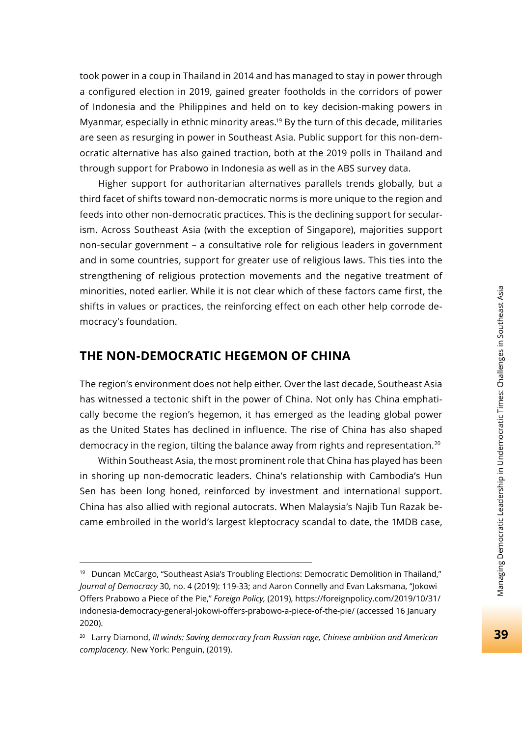took power in a coup in Thailand in 2014 and has managed to stay in power through a configured election in 2019, gained greater footholds in the corridors of power of Indonesia and the Philippines and held on to key decision-making powers in Myanmar, especially in ethnic minority areas.<sup>19</sup> By the turn of this decade, militaries are seen as resurging in power in Southeast Asia. Public support for this non-democratic alternative has also gained traction, both at the 2019 polls in Thailand and through support for Prabowo in Indonesia as well as in the ABS survey data.

Higher support for authoritarian alternatives parallels trends globally, but a third facet of shifts toward non-democratic norms is more unique to the region and feeds into other non-democratic practices. This is the declining support for secularism. Across Southeast Asia (with the exception of Singapore), majorities support non-secular government – a consultative role for religious leaders in government and in some countries, support for greater use of religious laws. This ties into the strengthening of religious protection movements and the negative treatment of minorities, noted earlier. While it is not clear which of these factors came first, the shifts in values or practices, the reinforcing effect on each other help corrode democracy's foundation.

#### **THE NON-DEMOCRATIC HEGEMON OF CHINA**

The region's environment does not help either. Over the last decade, Southeast Asia has witnessed a tectonic shift in the power of China. Not only has China emphatically become the region's hegemon, it has emerged as the leading global power as the United States has declined in influence. The rise of China has also shaped democracy in the region, tilting the balance away from rights and representation.20

Within Southeast Asia, the most prominent role that China has played has been in shoring up non-democratic leaders. China's relationship with Cambodia's Hun Sen has been long honed, reinforced by investment and international support. China has also allied with regional autocrats. When Malaysia's Najib Tun Razak became embroiled in the world's largest kleptocracy scandal to date, the 1MDB case,

<sup>&</sup>lt;sup>19</sup> Duncan McCargo, "Southeast Asia's Troubling Elections: Democratic Demolition in Thailand," *Journal of Democracy* 30, no. 4 (2019): 119-33; and Aaron Connelly and Evan Laksmana, "Jokowi Off ers Prabowo a Piece of the Pie," *Foreign Policy,* (2019), https://foreignpolicy.com/2019/10/31/ indonesia-democracy-general-jokowi-offers-prabowo-a-piece-of-the-pie/ (accessed 16 January 2020).

<sup>20</sup> Larry Diamond, *Ill winds: Saving democracy from Russian rage, Chinese ambition and American complacency.* New York: Penguin, (2019).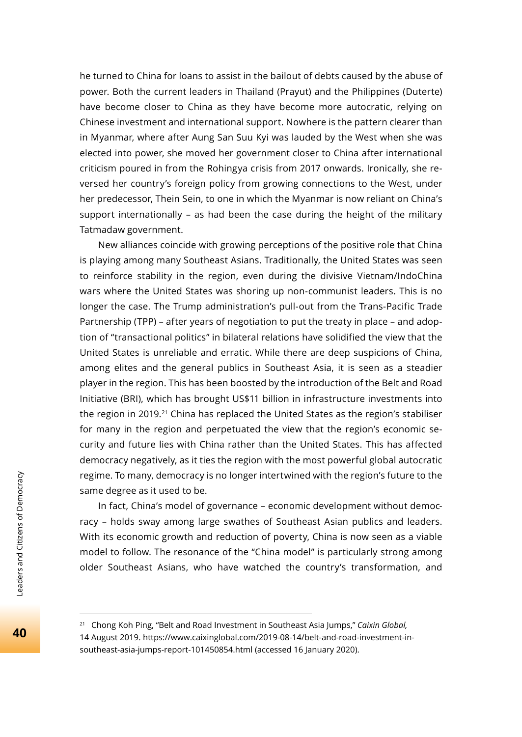he turned to China for loans to assist in the bailout of debts caused by the abuse of power. Both the current leaders in Thailand (Prayut) and the Philippines (Duterte) have become closer to China as they have become more autocratic, relying on Chinese investment and international support. Nowhere is the pattern clearer than in Myanmar, where after Aung San Suu Kyi was lauded by the West when she was elected into power, she moved her government closer to China after international criticism poured in from the Rohingya crisis from 2017 onwards. Ironically, she reversed her country's foreign policy from growing connections to the West, under her predecessor, Thein Sein, to one in which the Myanmar is now reliant on China's support internationally – as had been the case during the height of the military Tatmadaw government.

New alliances coincide with growing perceptions of the positive role that China is playing among many Southeast Asians. Traditionally, the United States was seen to reinforce stability in the region, even during the divisive Vietnam/IndoChina wars where the United States was shoring up non-communist leaders. This is no longer the case. The Trump administration's pull-out from the Trans-Pacific Trade Partnership (TPP) – after years of negotiation to put the treaty in place – and adoption of "transactional politics" in bilateral relations have solidified the view that the United States is unreliable and erratic. While there are deep suspicions of China, among elites and the general publics in Southeast Asia, it is seen as a steadier player in the region. This has been boosted by the introduction of the Belt and Road Initiative (BRI), which has brought US\$11 billion in infrastructure investments into the region in 2019.<sup>21</sup> China has replaced the United States as the region's stabiliser for many in the region and perpetuated the view that the region's economic security and future lies with China rather than the United States. This has affected democracy negatively, as it ties the region with the most powerful global autocratic regime. To many, democracy is no longer intertwined with the region's future to the same degree as it used to be.

In fact, China's model of governance – economic development without democracy – holds sway among large swathes of Southeast Asian publics and leaders. With its economic growth and reduction of poverty, China is now seen as a viable model to follow. The resonance of the "China model" is particularly strong among older Southeast Asians, who have watched the country's transformation, and

<sup>21</sup> Chong Koh Ping, "Belt and Road Investment in Southeast Asia Jumps," *Caixin Global,* 14 August 2019. https://www.caixinglobal.com/2019-08-14/belt-and-road-investment-insoutheast-asia-jumps-report-101450854.html (accessed 16 January 2020).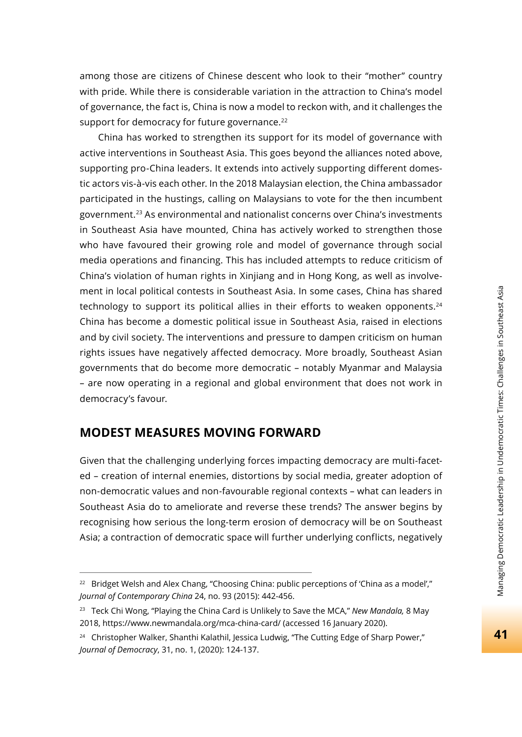among those are citizens of Chinese descent who look to their "mother" country with pride. While there is considerable variation in the attraction to China's model of governance, the fact is, China is now a model to reckon with, and it challenges the support for democracy for future governance.<sup>22</sup>

China has worked to strengthen its support for its model of governance with active interventions in Southeast Asia. This goes beyond the alliances noted above, supporting pro-China leaders. It extends into actively supporting different domestic actors vis-à-vis each other. In the 2018 Malaysian election, the China ambassador participated in the hustings, calling on Malaysians to vote for the then incumbent government.23 As environmental and nationalist concerns over China's investments in Southeast Asia have mounted, China has actively worked to strengthen those who have favoured their growing role and model of governance through social media operations and financing. This has included attempts to reduce criticism of China's violation of human rights in Xinjiang and in Hong Kong, as well as involvement in local political contests in Southeast Asia. In some cases, China has shared technology to support its political allies in their efforts to weaken opponents.<sup>24</sup> China has become a domestic political issue in Southeast Asia, raised in elections and by civil society. The interventions and pressure to dampen criticism on human rights issues have negatively affected democracy. More broadly, Southeast Asian governments that do become more democratic – notably Myanmar and Malaysia – are now operating in a regional and global environment that does not work in democracy's favour.

## **MODEST MEASURES MOVING FORWARD**

Given that the challenging underlying forces impacting democracy are multi-faceted – creation of internal enemies, distortions by social media, greater adoption of non-democratic values and non-favourable regional contexts – what can leaders in Southeast Asia do to ameliorate and reverse these trends? The answer begins by recognising how serious the long-term erosion of democracy will be on Southeast Asia; a contraction of democratic space will further underlying conflicts, negatively

 $22$  Bridget Welsh and Alex Chang, "Choosing China: public perceptions of 'China as a model'," *Journal of Contemporary China* 24, no. 93 (2015): 442-456.

<sup>23</sup> Teck Chi Wong, "Playing the China Card is Unlikely to Save the MCA," *New Mandala,* 8 May 2018, https://www.newmandala.org/mca-china-card/ (accessed 16 January 2020).

<sup>&</sup>lt;sup>24</sup> Christopher Walker, Shanthi Kalathil, Jessica Ludwig, "The Cutting Edge of Sharp Power," *Journal of Democracy*, 31, no. 1, (2020): 124-137.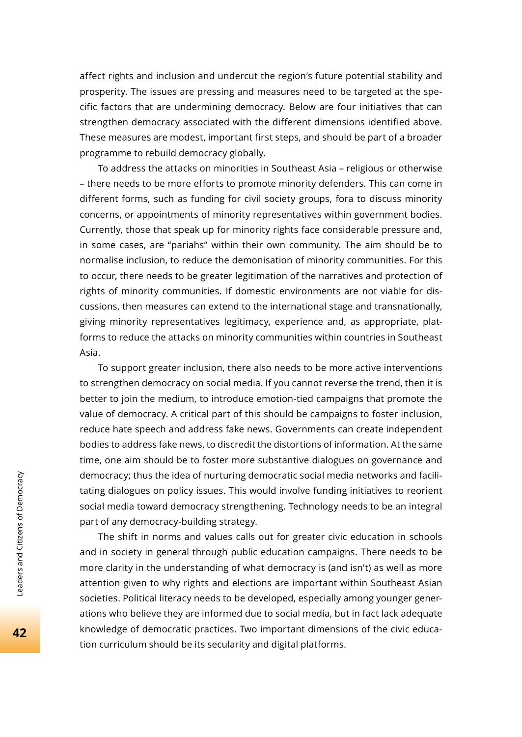affect rights and inclusion and undercut the region's future potential stability and prosperity. The issues are pressing and measures need to be targeted at the specific factors that are undermining democracy. Below are four initiatives that can strengthen democracy associated with the different dimensions identified above. These measures are modest, important first steps, and should be part of a broader programme to rebuild democracy globally.

To address the attacks on minorities in Southeast Asia – religious or otherwise – there needs to be more efforts to promote minority defenders. This can come in different forms, such as funding for civil society groups, fora to discuss minority concerns, or appointments of minority representatives within government bodies. Currently, those that speak up for minority rights face considerable pressure and, in some cases, are "pariahs" within their own community. The aim should be to normalise inclusion, to reduce the demonisation of minority communities. For this to occur, there needs to be greater legitimation of the narratives and protection of rights of minority communities. If domestic environments are not viable for discussions, then measures can extend to the international stage and transnationally, giving minority representatives legitimacy, experience and, as appropriate, platforms to reduce the attacks on minority communities within countries in Southeast Asia.

To support greater inclusion, there also needs to be more active interventions to strengthen democracy on social media. If you cannot reverse the trend, then it is better to join the medium, to introduce emotion-tied campaigns that promote the value of democracy. A critical part of this should be campaigns to foster inclusion, reduce hate speech and address fake news. Governments can create independent bodies to address fake news, to discredit the distortions of information. At the same time, one aim should be to foster more substantive dialogues on governance and democracy; thus the idea of nurturing democratic social media networks and facilitating dialogues on policy issues. This would involve funding initiatives to reorient social media toward democracy strengthening. Technology needs to be an integral part of any democracy-building strategy.

The shift in norms and values calls out for greater civic education in schools and in society in general through public education campaigns. There needs to be more clarity in the understanding of what democracy is (and isn't) as well as more attention given to why rights and elections are important within Southeast Asian societies. Political literacy needs to be developed, especially among younger generations who believe they are informed due to social media, but in fact lack adequate knowledge of democratic practices. Two important dimensions of the civic education curriculum should be its secularity and digital platforms.